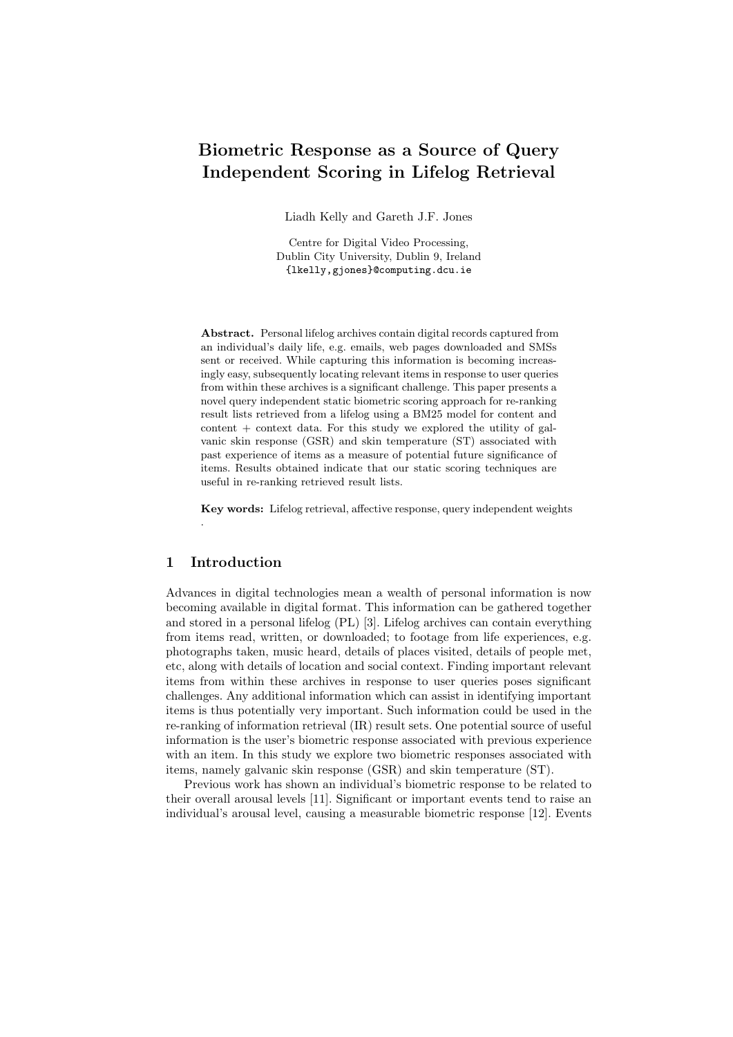# Biometric Response as a Source of Query Independent Scoring in Lifelog Retrieval

Liadh Kelly and Gareth J.F. Jones

Centre for Digital Video Processing, Dublin City University, Dublin 9, Ireland {lkelly,gjones}@computing.dcu.ie

Abstract. Personal lifelog archives contain digital records captured from an individual's daily life, e.g. emails, web pages downloaded and SMSs sent or received. While capturing this information is becoming increasingly easy, subsequently locating relevant items in response to user queries from within these archives is a significant challenge. This paper presents a novel query independent static biometric scoring approach for re-ranking result lists retrieved from a lifelog using a BM25 model for content and  $\text{content} + \text{context}$  data. For this study we explored the utility of galvanic skin response (GSR) and skin temperature (ST) associated with past experience of items as a measure of potential future significance of items. Results obtained indicate that our static scoring techniques are useful in re-ranking retrieved result lists.

Key words: Lifelog retrieval, affective response, query independent weights

## 1 Introduction

.

Advances in digital technologies mean a wealth of personal information is now becoming available in digital format. This information can be gathered together and stored in a personal lifelog (PL) [3]. Lifelog archives can contain everything from items read, written, or downloaded; to footage from life experiences, e.g. photographs taken, music heard, details of places visited, details of people met, etc, along with details of location and social context. Finding important relevant items from within these archives in response to user queries poses significant challenges. Any additional information which can assist in identifying important items is thus potentially very important. Such information could be used in the re-ranking of information retrieval (IR) result sets. One potential source of useful information is the user's biometric response associated with previous experience with an item. In this study we explore two biometric responses associated with items, namely galvanic skin response (GSR) and skin temperature (ST).

Previous work has shown an individual's biometric response to be related to their overall arousal levels [11]. Significant or important events tend to raise an individual's arousal level, causing a measurable biometric response [12]. Events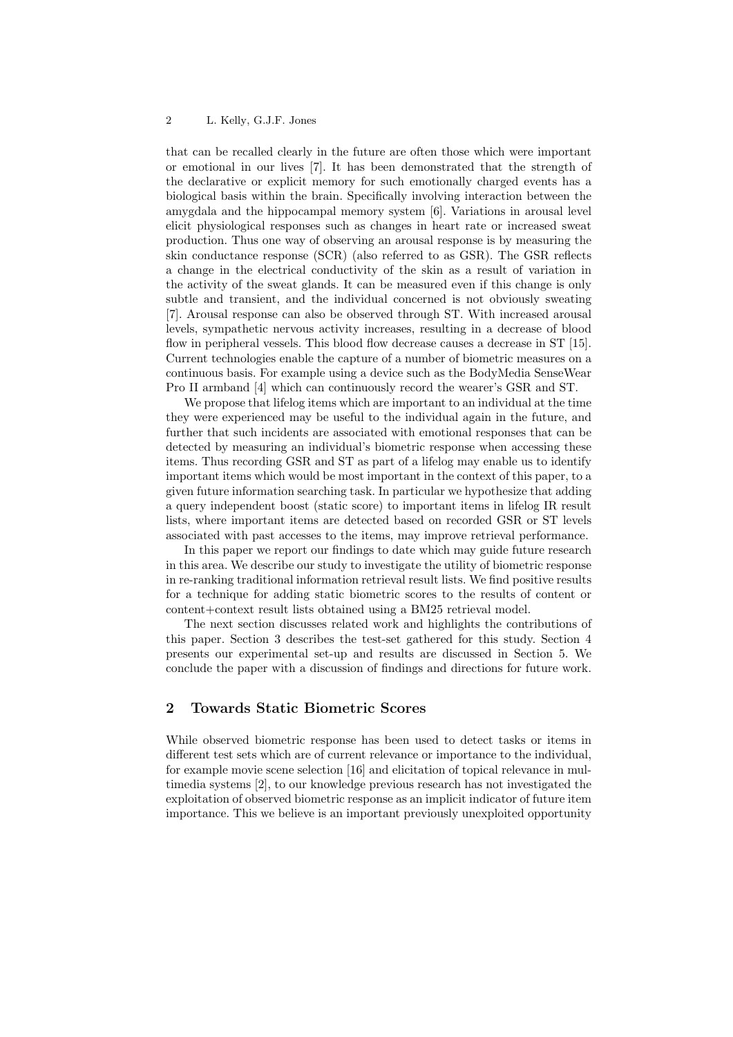that can be recalled clearly in the future are often those which were important or emotional in our lives [7]. It has been demonstrated that the strength of the declarative or explicit memory for such emotionally charged events has a biological basis within the brain. Specifically involving interaction between the amygdala and the hippocampal memory system [6]. Variations in arousal level elicit physiological responses such as changes in heart rate or increased sweat production. Thus one way of observing an arousal response is by measuring the skin conductance response (SCR) (also referred to as GSR). The GSR reflects a change in the electrical conductivity of the skin as a result of variation in the activity of the sweat glands. It can be measured even if this change is only subtle and transient, and the individual concerned is not obviously sweating [7]. Arousal response can also be observed through ST. With increased arousal levels, sympathetic nervous activity increases, resulting in a decrease of blood flow in peripheral vessels. This blood flow decrease causes a decrease in ST [15]. Current technologies enable the capture of a number of biometric measures on a continuous basis. For example using a device such as the BodyMedia SenseWear Pro II armband [4] which can continuously record the wearer's GSR and ST.

We propose that lifelog items which are important to an individual at the time they were experienced may be useful to the individual again in the future, and further that such incidents are associated with emotional responses that can be detected by measuring an individual's biometric response when accessing these items. Thus recording GSR and ST as part of a lifelog may enable us to identify important items which would be most important in the context of this paper, to a given future information searching task. In particular we hypothesize that adding a query independent boost (static score) to important items in lifelog IR result lists, where important items are detected based on recorded GSR or ST levels associated with past accesses to the items, may improve retrieval performance.

In this paper we report our findings to date which may guide future research in this area. We describe our study to investigate the utility of biometric response in re-ranking traditional information retrieval result lists. We find positive results for a technique for adding static biometric scores to the results of content or content+context result lists obtained using a BM25 retrieval model.

The next section discusses related work and highlights the contributions of this paper. Section 3 describes the test-set gathered for this study. Section 4 presents our experimental set-up and results are discussed in Section 5. We conclude the paper with a discussion of findings and directions for future work.

## 2 Towards Static Biometric Scores

While observed biometric response has been used to detect tasks or items in different test sets which are of current relevance or importance to the individual, for example movie scene selection [16] and elicitation of topical relevance in multimedia systems [2], to our knowledge previous research has not investigated the exploitation of observed biometric response as an implicit indicator of future item importance. This we believe is an important previously unexploited opportunity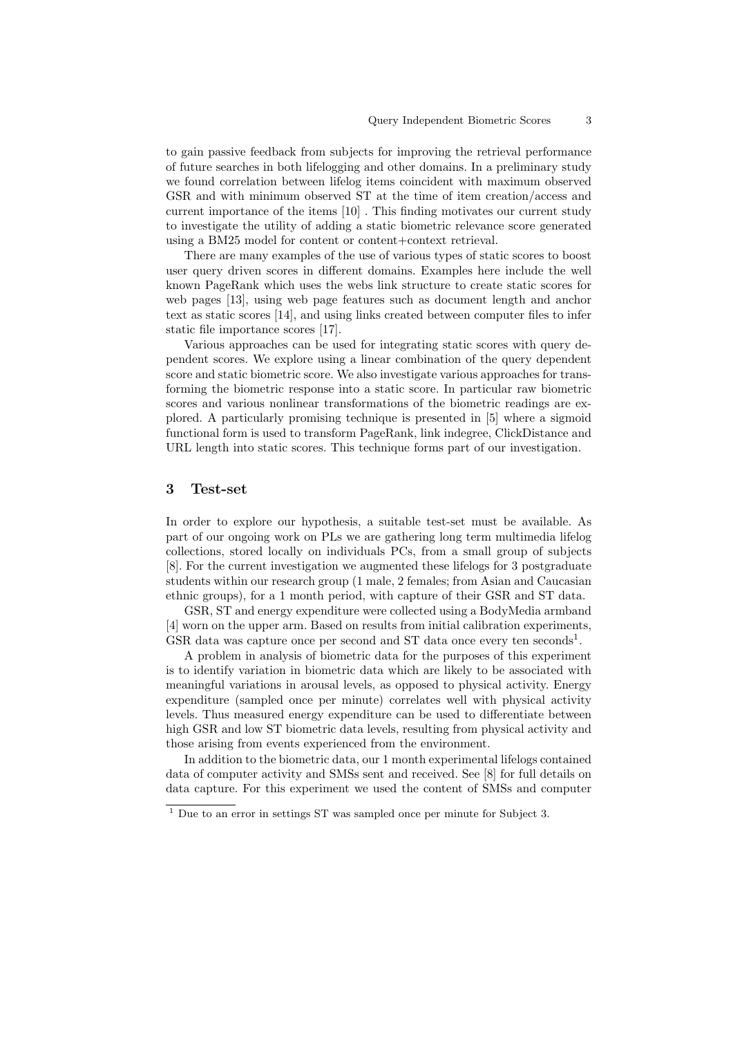to gain passive feedback from subjects for improving the retrieval performance of future searches in both lifelogging and other domains. In a preliminary study we found correlation between lifelog items coincident with maximum observed GSR and with minimum observed ST at the time of item creation/access and current importance of the items [10] . This finding motivates our current study to investigate the utility of adding a static biometric relevance score generated using a BM25 model for content or content+context retrieval.

There are many examples of the use of various types of static scores to boost user query driven scores in different domains. Examples here include the well known PageRank which uses the webs link structure to create static scores for web pages [13], using web page features such as document length and anchor text as static scores [14], and using links created between computer files to infer static file importance scores [17].

Various approaches can be used for integrating static scores with query dependent scores. We explore using a linear combination of the query dependent score and static biometric score. We also investigate various approaches for transforming the biometric response into a static score. In particular raw biometric scores and various nonlinear transformations of the biometric readings are explored. A particularly promising technique is presented in [5] where a sigmoid functional form is used to transform PageRank, link indegree, ClickDistance and URL length into static scores. This technique forms part of our investigation.

## 3 Test-set

In order to explore our hypothesis, a suitable test-set must be available. As part of our ongoing work on PLs we are gathering long term multimedia lifelog collections, stored locally on individuals PCs, from a small group of subjects [8]. For the current investigation we augmented these lifelogs for 3 postgraduate students within our research group (1 male, 2 females; from Asian and Caucasian ethnic groups), for a 1 month period, with capture of their GSR and ST data.

GSR, ST and energy expenditure were collected using a BodyMedia armband [4] worn on the upper arm. Based on results from initial calibration experiments, GSR data was capture once per second and ST data once every ten seconds<sup>1</sup>.

A problem in analysis of biometric data for the purposes of this experiment is to identify variation in biometric data which are likely to be associated with meaningful variations in arousal levels, as opposed to physical activity. Energy expenditure (sampled once per minute) correlates well with physical activity levels. Thus measured energy expenditure can be used to differentiate between high GSR and low ST biometric data levels, resulting from physical activity and those arising from events experienced from the environment.

In addition to the biometric data, our 1 month experimental lifelogs contained data of computer activity and SMSs sent and received. See [8] for full details on data capture. For this experiment we used the content of SMSs and computer

<sup>1</sup> Due to an error in settings ST was sampled once per minute for Subject 3.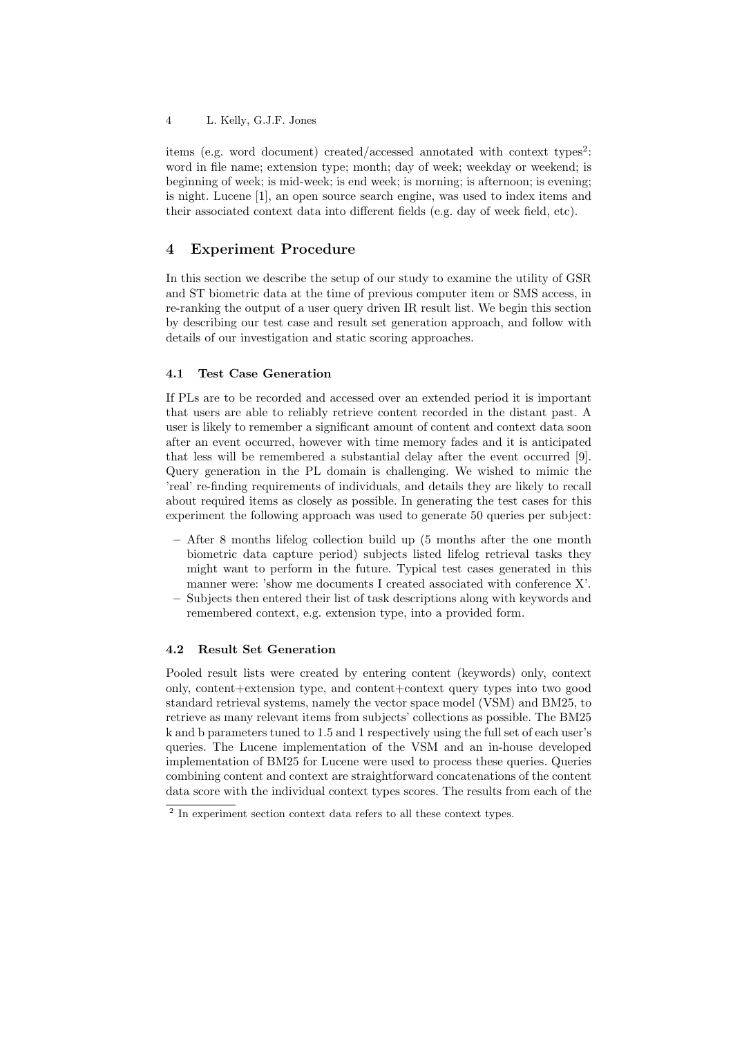items (e.g. word document) created/accessed annotated with context types<sup>2</sup>: word in file name; extension type; month; day of week; weekday or weekend; is beginning of week; is mid-week; is end week; is morning; is afternoon; is evening; is night. Lucene [1], an open source search engine, was used to index items and their associated context data into different fields (e.g. day of week field, etc).

# 4 Experiment Procedure

In this section we describe the setup of our study to examine the utility of GSR and ST biometric data at the time of previous computer item or SMS access, in re-ranking the output of a user query driven IR result list. We begin this section by describing our test case and result set generation approach, and follow with details of our investigation and static scoring approaches.

## 4.1 Test Case Generation

If PLs are to be recorded and accessed over an extended period it is important that users are able to reliably retrieve content recorded in the distant past. A user is likely to remember a significant amount of content and context data soon after an event occurred, however with time memory fades and it is anticipated that less will be remembered a substantial delay after the event occurred [9]. Query generation in the PL domain is challenging. We wished to mimic the 'real' re-finding requirements of individuals, and details they are likely to recall about required items as closely as possible. In generating the test cases for this experiment the following approach was used to generate 50 queries per subject:

- After 8 months lifelog collection build up (5 months after the one month biometric data capture period) subjects listed lifelog retrieval tasks they might want to perform in the future. Typical test cases generated in this manner were: 'show me documents I created associated with conference X'.
- Subjects then entered their list of task descriptions along with keywords and remembered context, e.g. extension type, into a provided form.

## 4.2 Result Set Generation

Pooled result lists were created by entering content (keywords) only, context only, content+extension type, and content+context query types into two good standard retrieval systems, namely the vector space model (VSM) and BM25, to retrieve as many relevant items from subjects' collections as possible. The BM25 k and b parameters tuned to 1.5 and 1 respectively using the full set of each user's queries. The Lucene implementation of the VSM and an in-house developed implementation of BM25 for Lucene were used to process these queries. Queries combining content and context are straightforward concatenations of the content data score with the individual context types scores. The results from each of the

<sup>&</sup>lt;sup>2</sup> In experiment section context data refers to all these context types.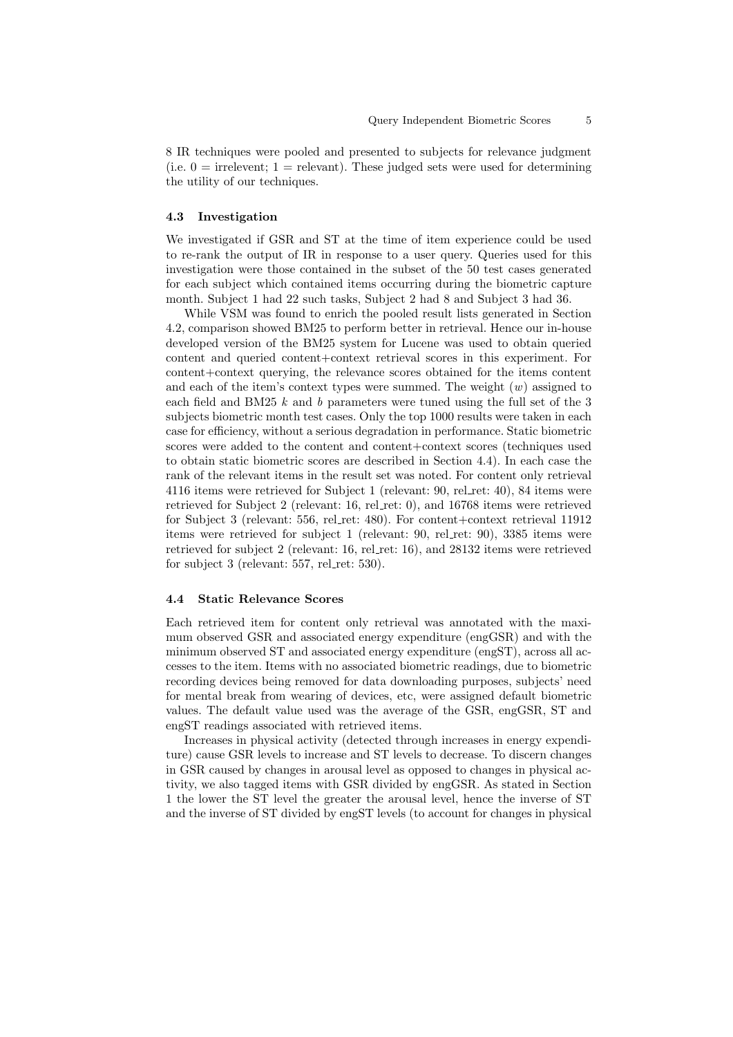8 IR techniques were pooled and presented to subjects for relevance judgment (i.e.  $0 =$  irrelevent;  $1 =$  relevant). These judged sets were used for determining the utility of our techniques.

#### 4.3 Investigation

We investigated if GSR and ST at the time of item experience could be used to re-rank the output of IR in response to a user query. Queries used for this investigation were those contained in the subset of the 50 test cases generated for each subject which contained items occurring during the biometric capture month. Subject 1 had 22 such tasks, Subject 2 had 8 and Subject 3 had 36.

While VSM was found to enrich the pooled result lists generated in Section 4.2, comparison showed BM25 to perform better in retrieval. Hence our in-house developed version of the BM25 system for Lucene was used to obtain queried content and queried content+context retrieval scores in this experiment. For content+context querying, the relevance scores obtained for the items content and each of the item's context types were summed. The weight  $(w)$  assigned to each field and BM25  $k$  and  $b$  parameters were tuned using the full set of the 3 subjects biometric month test cases. Only the top 1000 results were taken in each case for efficiency, without a serious degradation in performance. Static biometric scores were added to the content and content+context scores (techniques used to obtain static biometric scores are described in Section 4.4). In each case the rank of the relevant items in the result set was noted. For content only retrieval 4116 items were retrieved for Subject 1 (relevant: 90, rel ret: 40), 84 items were retrieved for Subject 2 (relevant: 16, rel\_ret: 0), and 16768 items were retrieved for Subject 3 (relevant: 556, rel\_ret: 480). For content+context retrieval 11912 items were retrieved for subject 1 (relevant: 90, rel\_ret: 90), 3385 items were retrieved for subject 2 (relevant: 16, rel ret: 16), and 28132 items were retrieved for subject 3 (relevant: 557, rel\_ret: 530).

## 4.4 Static Relevance Scores

Each retrieved item for content only retrieval was annotated with the maximum observed GSR and associated energy expenditure (engGSR) and with the minimum observed ST and associated energy expenditure (engST), across all accesses to the item. Items with no associated biometric readings, due to biometric recording devices being removed for data downloading purposes, subjects' need for mental break from wearing of devices, etc, were assigned default biometric values. The default value used was the average of the GSR, engGSR, ST and engST readings associated with retrieved items.

Increases in physical activity (detected through increases in energy expenditure) cause GSR levels to increase and ST levels to decrease. To discern changes in GSR caused by changes in arousal level as opposed to changes in physical activity, we also tagged items with GSR divided by engGSR. As stated in Section 1 the lower the ST level the greater the arousal level, hence the inverse of ST and the inverse of ST divided by engST levels (to account for changes in physical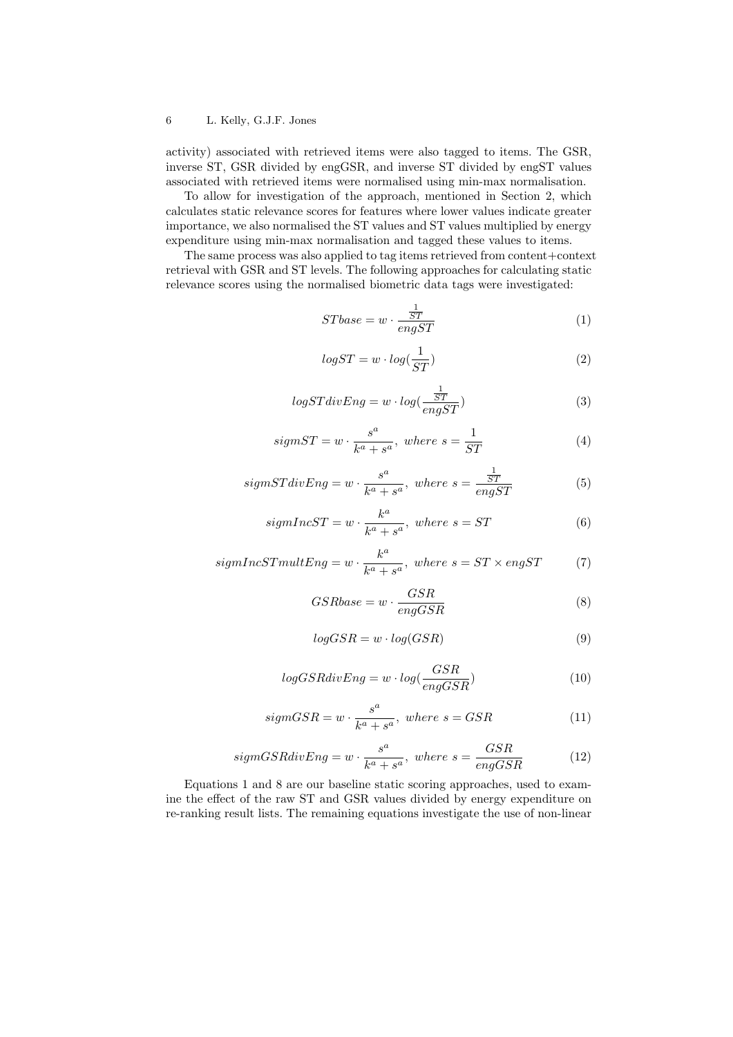## 6 L. Kelly, G.J.F. Jones

activity) associated with retrieved items were also tagged to items. The GSR, inverse ST, GSR divided by engGSR, and inverse ST divided by engST values associated with retrieved items were normalised using min-max normalisation.

To allow for investigation of the approach, mentioned in Section 2, which calculates static relevance scores for features where lower values indicate greater importance, we also normalised the ST values and ST values multiplied by energy expenditure using min-max normalisation and tagged these values to items.

The same process was also applied to tag items retrieved from content+context retrieval with GSR and ST levels. The following approaches for calculating static relevance scores using the normalised biometric data tags were investigated:

$$
STbase = w \cdot \frac{\frac{1}{ST}}{engST} \tag{1}
$$

$$
logST = w \cdot log(\frac{1}{ST})
$$
\n(2)

$$
logSTdivEng = w \cdot log(\frac{\frac{1}{ST}}{engST})
$$
\n(3)

$$
sigmST = w \cdot \frac{s^a}{k^a + s^a}, \text{ where } s = \frac{1}{ST}
$$
 (4)

$$
sigmSTdivEng = w \cdot \frac{s^a}{k^a + s^a}, \text{ where } s = \frac{\frac{1}{ST}}{engST}
$$
 (5)

$$
sigmIncST = w \cdot \frac{k^a}{k^a + s^a}, \text{ where } s = ST \tag{6}
$$

$$
sigmlncSTMultEng = w \cdot \frac{k^a}{k^a + s^a}, \text{ where } s = ST \times engST \tag{7}
$$

$$
GSR base = w \cdot \frac{GSR}{engGSR} \tag{8}
$$

$$
logGSR = w \cdot log(GSR)
$$
\n(9)

$$
logGSRdivEng = w \cdot log(\frac{GSR}{engGSR})
$$
\n(10)

$$
sigmGSR = w \cdot \frac{s^a}{k^a + s^a}, \text{ where } s = GSR
$$
 (11)

$$
sigmGSRdivEng = w \cdot \frac{s^a}{k^a + s^a}, \text{ where } s = \frac{GSR}{engGSR} \tag{12}
$$

Equations 1 and 8 are our baseline static scoring approaches, used to examine the effect of the raw ST and GSR values divided by energy expenditure on re-ranking result lists. The remaining equations investigate the use of non-linear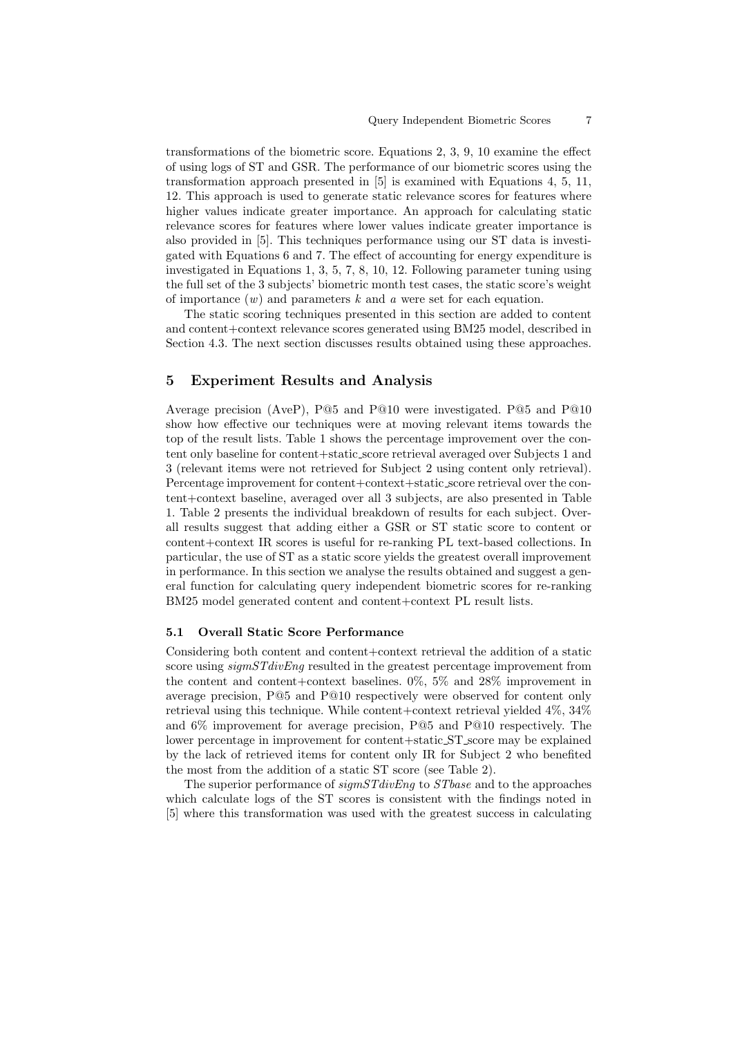transformations of the biometric score. Equations 2, 3, 9, 10 examine the effect of using logs of ST and GSR. The performance of our biometric scores using the transformation approach presented in [5] is examined with Equations 4, 5, 11, 12. This approach is used to generate static relevance scores for features where higher values indicate greater importance. An approach for calculating static relevance scores for features where lower values indicate greater importance is also provided in [5]. This techniques performance using our ST data is investigated with Equations 6 and 7. The effect of accounting for energy expenditure is investigated in Equations 1, 3, 5, 7, 8, 10, 12. Following parameter tuning using the full set of the 3 subjects' biometric month test cases, the static score's weight of importance  $(w)$  and parameters k and a were set for each equation.

The static scoring techniques presented in this section are added to content and content+context relevance scores generated using BM25 model, described in Section 4.3. The next section discusses results obtained using these approaches.

## 5 Experiment Results and Analysis

Average precision (AveP), P@5 and P@10 were investigated. P@5 and P@10 show how effective our techniques were at moving relevant items towards the top of the result lists. Table 1 shows the percentage improvement over the content only baseline for content+static score retrieval averaged over Subjects 1 and 3 (relevant items were not retrieved for Subject 2 using content only retrieval). Percentage improvement for content+context+static score retrieval over the content+context baseline, averaged over all 3 subjects, are also presented in Table 1. Table 2 presents the individual breakdown of results for each subject. Overall results suggest that adding either a GSR or ST static score to content or content+context IR scores is useful for re-ranking PL text-based collections. In particular, the use of ST as a static score yields the greatest overall improvement in performance. In this section we analyse the results obtained and suggest a general function for calculating query independent biometric scores for re-ranking BM25 model generated content and content+context PL result lists.

#### 5.1 Overall Static Score Performance

Considering both content and content+context retrieval the addition of a static score using *sigmST divEng* resulted in the greatest percentage improvement from the content and content+context baselines. 0%, 5% and 28% improvement in average precision, P@5 and P@10 respectively were observed for content only retrieval using this technique. While content+context retrieval yielded 4%, 34% and 6% improvement for average precision, P@5 and P@10 respectively. The lower percentage in improvement for content+static ST\_score may be explained by the lack of retrieved items for content only IR for Subject 2 who benefited the most from the addition of a static ST score (see Table 2).

The superior performance of *sigmST divEng* to *ST* base and to the approaches which calculate logs of the ST scores is consistent with the findings noted in [5] where this transformation was used with the greatest success in calculating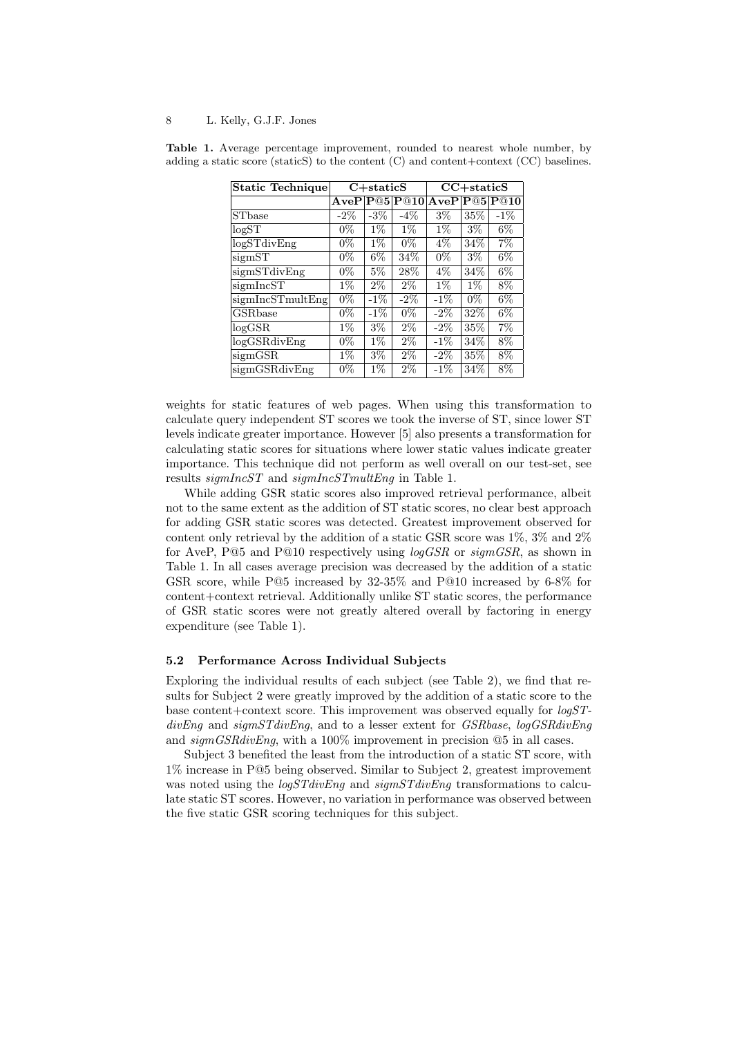#### 8 L. Kelly, G.J.F. Jones

| Static Technique           | $C+staticS$ |        |               | $CC + staticS$ |       |        |  |
|----------------------------|-------------|--------|---------------|----------------|-------|--------|--|
|                            |             |        | AveP P@5 P@10 | AveP P@5 P@10  |       |        |  |
| <b>ST</b> base             | $-2\%$      | $-3\%$ | $-4\%$        | $3\%$          | 35%   | $-1\%$ |  |
| logST                      | $0\%$       | $1\%$  | $1\%$         | $1\%$          | $3\%$ | $6\%$  |  |
| $\overline{\log}$ STdivEng | $0\%$       | $1\%$  | $0\%$         | $4\%$          | 34\%  | $7\%$  |  |
| sigmST                     | $0\%$       | $6\%$  | 34\%          | $0\%$          | $3\%$ | $6\%$  |  |
| sigmSTdivEng               | $0\%$       | $5\%$  | 28%           | $4\%$          | 34\%  | $6\%$  |  |
| sigmIncST                  | $1\%$       | $2\%$  | $2\%$         | $1\%$          | $1\%$ | 8%     |  |
| sigmIncSTmultEng           | $0\%$       | $-1\%$ | $-2\%$        | $-1\%$         | $0\%$ | $6\%$  |  |
| GSRbase                    | $0\%$       | $-1\%$ | $0\%$         | $-2\%$         | 32%   | 6%     |  |
| logGSR                     | $1\%$       | $3\%$  | $2\%$         | $-2\%$         | 35%   | $7\%$  |  |
| $log$ GSRdivEng            | $0\%$       | $1\%$  | $2\%$         | $-1\%$         | 34\%  | 8%     |  |
| sigmGSR                    | $1\%$       | $3\%$  | $2\%$         | $-2\%$         | 35%   | $8\%$  |  |
| sigmGSRdivEng              | $0\%$       | $1\%$  | $2\%$         | $-1\%$         | 34\%  | 8%     |  |

Table 1. Average percentage improvement, rounded to nearest whole number, by adding a static score (staticS) to the content (C) and content+context (CC) baselines.

weights for static features of web pages. When using this transformation to calculate query independent ST scores we took the inverse of ST, since lower ST levels indicate greater importance. However [5] also presents a transformation for calculating static scores for situations where lower static values indicate greater importance. This technique did not perform as well overall on our test-set, see results sigmIncST and sigmIncSTmultEng in Table 1.

While adding GSR static scores also improved retrieval performance, albeit not to the same extent as the addition of ST static scores, no clear best approach for adding GSR static scores was detected. Greatest improvement observed for content only retrieval by the addition of a static GSR score was 1%, 3% and 2% for AveP, P@5 and P@10 respectively using  $logGSR$  or  $sigmaSSR$ , as shown in Table 1. In all cases average precision was decreased by the addition of a static GSR score, while P@5 increased by 32-35% and P@10 increased by 6-8% for content+context retrieval. Additionally unlike ST static scores, the performance of GSR static scores were not greatly altered overall by factoring in energy expenditure (see Table 1).

## 5.2 Performance Across Individual Subjects

Exploring the individual results of each subject (see Table 2), we find that results for Subject 2 were greatly improved by the addition of a static score to the base content+context score. This improvement was observed equally for logST $divEng$  and  $sigmSTdivEng$ , and to a lesser extent for  $GSR base$ ,  $logGSRdivEng$ and sigmGSRdivEng, with a 100% improvement in precision @5 in all cases.

Subject 3 benefited the least from the introduction of a static ST score, with 1% increase in P@5 being observed. Similar to Subject 2, greatest improvement was noted using the *logSTdivEng* and *sigmSTdivEng* transformations to calculate static ST scores. However, no variation in performance was observed between the five static GSR scoring techniques for this subject.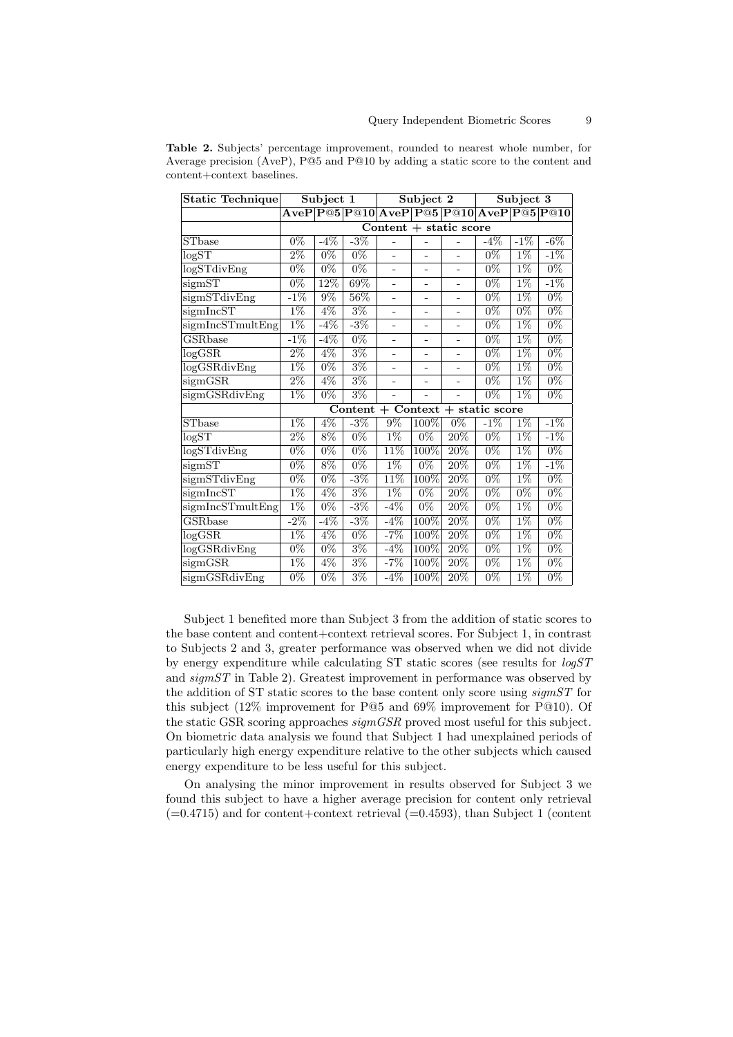| Static Technique           | Subject 1                                  |                  |                  | Subject 2 |                  |                          | Subject 3                                                   |        |                  |  |  |  |
|----------------------------|--------------------------------------------|------------------|------------------|-----------|------------------|--------------------------|-------------------------------------------------------------|--------|------------------|--|--|--|
|                            |                                            |                  |                  |           |                  |                          | $\overline{\rm{AveP P@5 P@10 AveP P@5 P@10 AveP P@5 P@10}}$ |        |                  |  |  |  |
|                            | Content $+$ static score                   |                  |                  |           |                  |                          |                                                             |        |                  |  |  |  |
| STbase                     | $0\%$                                      | $-4%$            | $-3\%$           | ÷         |                  |                          | $-4\%$                                                      | $-1\%$ | $-6%$            |  |  |  |
| $log\overline{ST}$         | $\overline{2\%}$                           | $\overline{0\%}$ | $0\%$            | ÷,        | $\overline{a}$   |                          | $\overline{0\%}$                                            | $1\%$  | $-1\%$           |  |  |  |
| $\overline{\log}$ STdivEng | $\overline{0\%}$                           | $0\%$            | $\overline{0\%}$ |           |                  |                          | $0\%$                                                       | $1\%$  | $\overline{0\%}$ |  |  |  |
| sigmST                     | $0\%$                                      | 12%              | 69%              | ÷,        | ÷                | $\overline{\phantom{0}}$ | $0\%$                                                       | $1\%$  | $-1\%$           |  |  |  |
| sigmSTdivEng               | $-1\%$                                     | $9\%$            | 56%              | ÷,        | ۰                | ÷.                       | $0\%$                                                       | $1\%$  | $0\%$            |  |  |  |
| sigmIncST                  | $1\%$                                      | $4\%$            | $3\%$            |           |                  |                          | $0\%$                                                       | $0\%$  | $\overline{0\%}$ |  |  |  |
| sigmIncSTmultEng           | $1\%$                                      | $-4\%$           | $-3\%$           | ÷,        | $\overline{a}$   | $\overline{\phantom{a}}$ | $0\%$                                                       | $1\%$  | $0\%$            |  |  |  |
| <b>GSR</b> base            | $-1\%$                                     | $-4\%$           | $0\%$            | ÷,        | $\overline{a}$   | $\overline{\phantom{a}}$ | $0\%$                                                       | $1\%$  | $0\%$            |  |  |  |
| log <sub>GSR</sub>         | $\overline{2\%}$                           | $4\%$            | $3\%$            |           |                  |                          | $0\%$                                                       | $1\%$  | $\overline{0\%}$ |  |  |  |
| $log$ GSRdivEng            | $1\%$                                      | $0\%$            | $3\%$            | ÷,        | ÷                | $\overline{\phantom{0}}$ | $0\%$                                                       | $1\%$  | $0\%$            |  |  |  |
| sigmGSR                    | $\overline{2\%}$                           | $4\%$            | $\overline{3\%}$ | ÷,        | $\overline{a}$   | ÷.                       | $0\%$                                                       | $1\%$  | $\overline{0\%}$ |  |  |  |
| sigmGSRdivEng              | $1\%$                                      | $0\%$            | $\overline{3\%}$ |           |                  |                          | $0\%$                                                       | $1\%$  | $\overline{0\%}$ |  |  |  |
|                            | $Context + static score$<br>Content<br>$+$ |                  |                  |           |                  |                          |                                                             |        |                  |  |  |  |
| <b>ST</b> base             | $1\%$                                      | $4\%$            | $-3\%$           | $9\%$     | 100%             | $0\%$                    | $-1\%$                                                      | $1\%$  | $-1\%$           |  |  |  |
| logST                      | $\overline{2\%}$                           | $8\%$            | $\overline{0\%}$ | $1\%$     | $\overline{0\%}$ | 20%                      | $\overline{0\%}$                                            | $1\%$  | $-1\%$           |  |  |  |
| logSTdivEng                | $\overline{0\%}$                           | $0\%$            | $0\%$            | 11%       | 100%             | 20%                      | $0\%$                                                       | $1\%$  | $0\%$            |  |  |  |
| sigmST                     | $0\%$                                      | $8\%$            | $0\%$            | $1\%$     | $0\%$            | 20%                      | $0\%$                                                       | $1\%$  | $-1\%$           |  |  |  |
| sigmSTdivEng               | $\overline{0\%}$                           | $\overline{0\%}$ | $-3\%$           | 11%       | 100%             | 20%                      | $\overline{0\%}$                                            | $1\%$  | $\overline{0\%}$ |  |  |  |
| sigmIncST                  | $1\%$                                      | $4\%$            | $3\%$            | $1\%$     | $0\%$            | 20%                      | $0\%$                                                       | $0\%$  | $\overline{0\%}$ |  |  |  |
| sigmIncSTmultEng           | $1\%$                                      | $0\%$            | $-3\%$           | $-4\%$    | $0\%$            | 20%                      | $0\%$                                                       | $1\%$  | $0\%$            |  |  |  |
| <b>GSR</b> base            | $-2\%$                                     | $-4\%$           | $-3\%$           | $-4\%$    | 100%             | 20%                      | $\overline{0\%}$                                            | $1\%$  | $\overline{0\%}$ |  |  |  |
| logGSR                     | $1\%$                                      | $4\%$            | $0\%$            | $-7%$     | 100%             | 20%                      | $\overline{0\%}$                                            | $1\%$  | $\overline{0\%}$ |  |  |  |
| logGSRdivEng               | $\overline{0\%}$                           | $0\%$            | $3\%$            | $-4\%$    | 100%             | 20%                      | $0\%$                                                       | $1\%$  | $0\%$            |  |  |  |
| sigmGSR                    | $1\%$                                      | $4\%$            | $3\%$            | $-7%$     | 100%             | 20%                      | $0\%$                                                       | $1\%$  | $0\%$            |  |  |  |
| sigmGSRdivEng              | $\overline{0\%}$                           | $0\%$            | $\overline{3\%}$ | $-4%$     | 100%             | 20%                      | $\overline{0\%}$                                            | $1\%$  | $\overline{0\%}$ |  |  |  |

Table 2. Subjects' percentage improvement, rounded to nearest whole number, for Average precision (AveP), P@5 and P@10 by adding a static score to the content and content+context baselines.

Subject 1 benefited more than Subject 3 from the addition of static scores to the base content and content+context retrieval scores. For Subject 1, in contrast to Subjects 2 and 3, greater performance was observed when we did not divide by energy expenditure while calculating  $ST$  static scores (see results for  $logST$ and sigmST in Table 2). Greatest improvement in performance was observed by the addition of ST static scores to the base content only score using sigmST for this subject (12% improvement for P@5 and 69% improvement for P@10). Of the static GSR scoring approaches  $\text{sigma}$  GSR proved most useful for this subject. On biometric data analysis we found that Subject 1 had unexplained periods of particularly high energy expenditure relative to the other subjects which caused energy expenditure to be less useful for this subject.

On analysing the minor improvement in results observed for Subject 3 we found this subject to have a higher average precision for content only retrieval  $(=0.4715)$  and for content+context retrieval  $(=0.4593)$ , than Subject 1 (content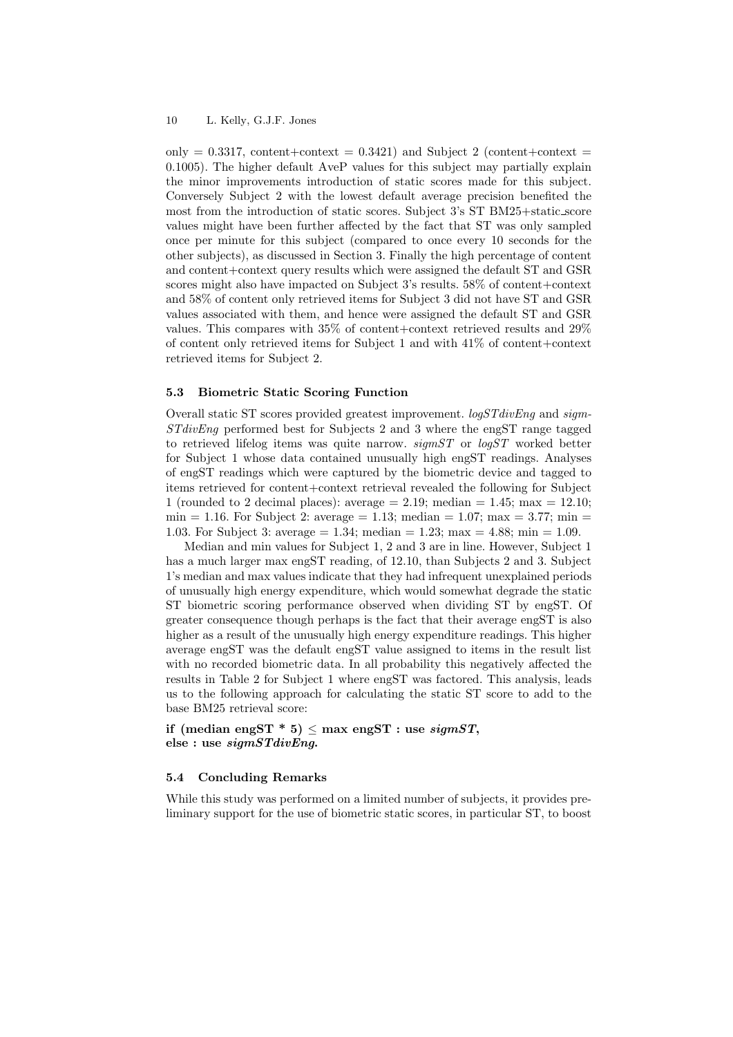only = 0.3317, content+context = 0.3421) and Subject 2 (content+context = 0.1005). The higher default AveP values for this subject may partially explain the minor improvements introduction of static scores made for this subject. Conversely Subject 2 with the lowest default average precision benefited the most from the introduction of static scores. Subject 3's ST BM25+static score values might have been further affected by the fact that ST was only sampled once per minute for this subject (compared to once every 10 seconds for the other subjects), as discussed in Section 3. Finally the high percentage of content and content+context query results which were assigned the default ST and GSR scores might also have impacted on Subject 3's results. 58% of content+context and 58% of content only retrieved items for Subject 3 did not have ST and GSR values associated with them, and hence were assigned the default ST and GSR values. This compares with 35% of content+context retrieved results and 29% of content only retrieved items for Subject 1 and with 41% of content+context retrieved items for Subject 2.

#### 5.3 Biometric Static Scoring Function

Overall static ST scores provided greatest improvement.  $logSTdivEng$  and sigm-STdivEng performed best for Subjects 2 and 3 where the engST range tagged to retrieved lifelog items was quite narrow.  $sigmST$  or  $logST$  worked better for Subject 1 whose data contained unusually high engST readings. Analyses of engST readings which were captured by the biometric device and tagged to items retrieved for content+context retrieval revealed the following for Subject 1 (rounded to 2 decimal places): average  $= 2.19$ ; median  $= 1.45$ ; max  $= 12.10$ ;  $\min = 1.16$ . For Subject 2: average  $= 1.13$ ; median  $= 1.07$ ; max  $= 3.77$ ; min  $=$ 1.03. For Subject 3: average  $= 1.34$ ; median  $= 1.23$ ; max  $= 4.88$ ; min  $= 1.09$ .

Median and min values for Subject 1, 2 and 3 are in line. However, Subject 1 has a much larger max engST reading, of 12.10, than Subjects 2 and 3. Subject 1's median and max values indicate that they had infrequent unexplained periods of unusually high energy expenditure, which would somewhat degrade the static ST biometric scoring performance observed when dividing ST by engST. Of greater consequence though perhaps is the fact that their average engST is also higher as a result of the unusually high energy expenditure readings. This higher average engST was the default engST value assigned to items in the result list with no recorded biometric data. In all probability this negatively affected the results in Table 2 for Subject 1 where engST was factored. This analysis, leads us to the following approach for calculating the static ST score to add to the base BM25 retrieval score:

if (median engST  $*$  5)  $\leq$  max engST : use sigmST, else : use sigmSTdivEng.

#### 5.4 Concluding Remarks

While this study was performed on a limited number of subjects, it provides preliminary support for the use of biometric static scores, in particular ST, to boost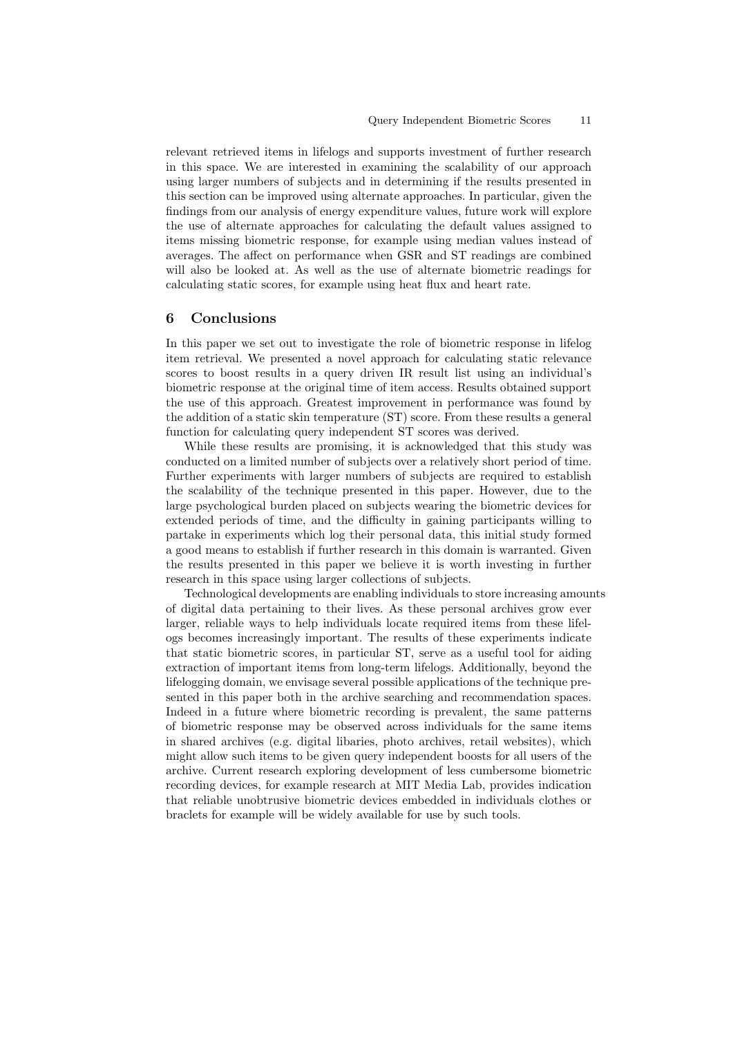relevant retrieved items in lifelogs and supports investment of further research in this space. We are interested in examining the scalability of our approach using larger numbers of subjects and in determining if the results presented in this section can be improved using alternate approaches. In particular, given the findings from our analysis of energy expenditure values, future work will explore the use of alternate approaches for calculating the default values assigned to items missing biometric response, for example using median values instead of averages. The affect on performance when GSR and ST readings are combined will also be looked at. As well as the use of alternate biometric readings for calculating static scores, for example using heat flux and heart rate.

# 6 Conclusions

In this paper we set out to investigate the role of biometric response in lifelog item retrieval. We presented a novel approach for calculating static relevance scores to boost results in a query driven IR result list using an individual's biometric response at the original time of item access. Results obtained support the use of this approach. Greatest improvement in performance was found by the addition of a static skin temperature (ST) score. From these results a general function for calculating query independent ST scores was derived.

While these results are promising, it is acknowledged that this study was conducted on a limited number of subjects over a relatively short period of time. Further experiments with larger numbers of subjects are required to establish the scalability of the technique presented in this paper. However, due to the large psychological burden placed on subjects wearing the biometric devices for extended periods of time, and the difficulty in gaining participants willing to partake in experiments which log their personal data, this initial study formed a good means to establish if further research in this domain is warranted. Given the results presented in this paper we believe it is worth investing in further research in this space using larger collections of subjects.

Technological developments are enabling individuals to store increasing amounts of digital data pertaining to their lives. As these personal archives grow ever larger, reliable ways to help individuals locate required items from these lifelogs becomes increasingly important. The results of these experiments indicate that static biometric scores, in particular ST, serve as a useful tool for aiding extraction of important items from long-term lifelogs. Additionally, beyond the lifelogging domain, we envisage several possible applications of the technique presented in this paper both in the archive searching and recommendation spaces. Indeed in a future where biometric recording is prevalent, the same patterns of biometric response may be observed across individuals for the same items in shared archives (e.g. digital libaries, photo archives, retail websites), which might allow such items to be given query independent boosts for all users of the archive. Current research exploring development of less cumbersome biometric recording devices, for example research at MIT Media Lab, provides indication that reliable unobtrusive biometric devices embedded in individuals clothes or braclets for example will be widely available for use by such tools.